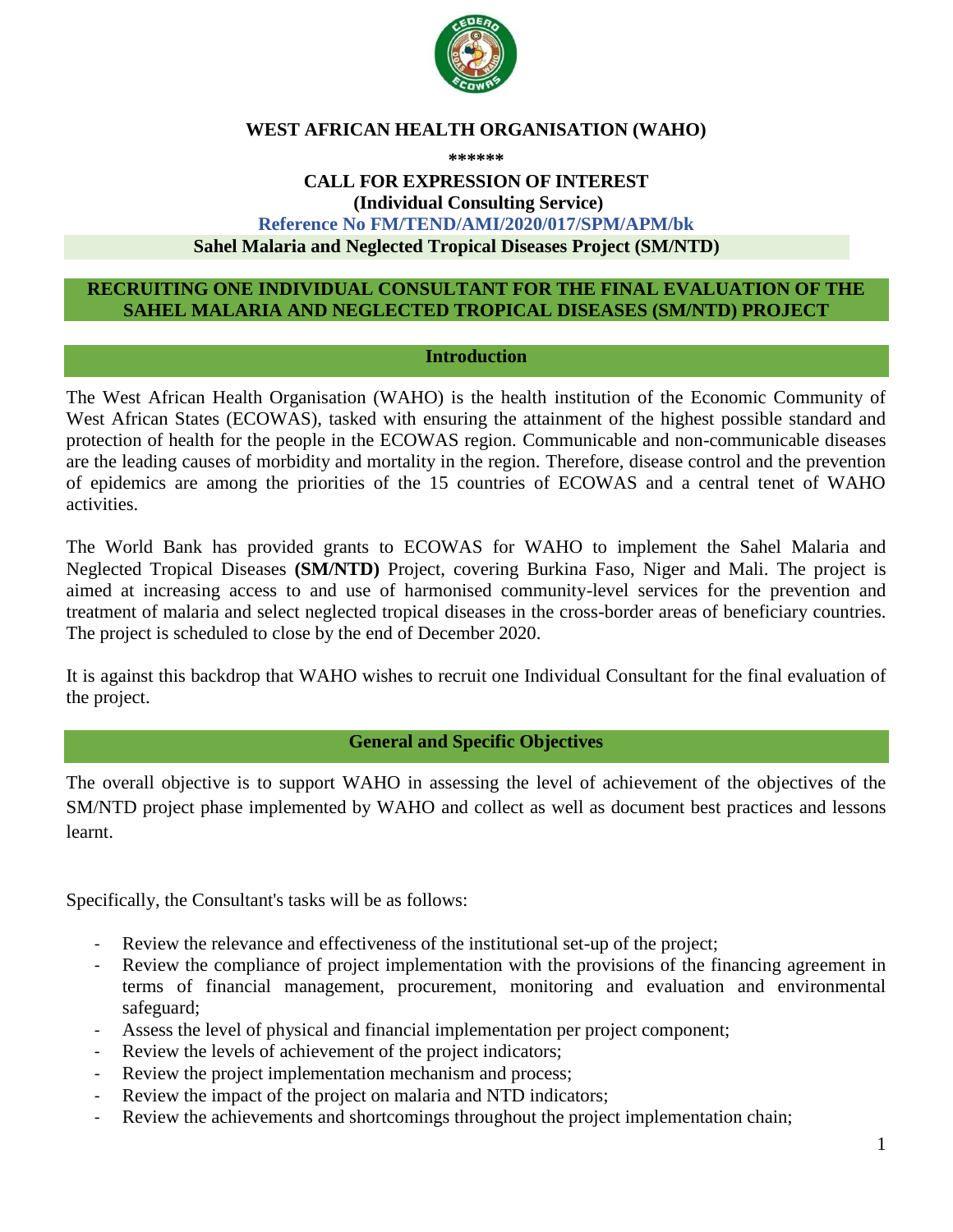

### **WEST AFRICAN HEALTH ORGANISATION (WAHO)**

#### **\*\*\*\*\*\***

#### **CALL FOR EXPRESSION OF INTEREST (Individual Consulting Service) Reference No FM/TEND/AMI/2020/017/SPM/APM/bk Sahel Malaria and Neglected Tropical Diseases Project (SM/NTD)**

#### **RECRUITING ONE INDIVIDUAL CONSULTANT FOR THE FINAL EVALUATION OF THE SAHEL MALARIA AND NEGLECTED TROPICAL DISEASES (SM/NTD) PROJECT**

#### **Introduction**

The West African Health Organisation (WAHO) is the health institution of the Economic Community of West African States (ECOWAS), tasked with ensuring the attainment of the highest possible standard and protection of health for the people in the ECOWAS region. Communicable and non-communicable diseases are the leading causes of morbidity and mortality in the region. Therefore, disease control and the prevention of epidemics are among the priorities of the 15 countries of ECOWAS and a central tenet of WAHO activities.

The World Bank has provided grants to ECOWAS for WAHO to implement the Sahel Malaria and Neglected Tropical Diseases **(SM/NTD)** Project, covering Burkina Faso, Niger and Mali. The project is aimed at increasing access to and use of harmonised community-level services for the prevention and treatment of malaria and select neglected tropical diseases in the cross-border areas of beneficiary countries. The project is scheduled to close by the end of December 2020.

It is against this backdrop that WAHO wishes to recruit one Individual Consultant for the final evaluation of the project.

#### **General and Specific Objectives**

The overall objective is to support WAHO in assessing the level of achievement of the objectives of the SM/NTD project phase implemented by WAHO and collect as well as document best practices and lessons learnt.

Specifically, the Consultant's tasks will be as follows:

- Review the relevance and effectiveness of the institutional set-up of the project;
- Review the compliance of project implementation with the provisions of the financing agreement in terms of financial management, procurement, monitoring and evaluation and environmental safeguard;
- Assess the level of physical and financial implementation per project component;
- Review the levels of achievement of the project indicators;
- Review the project implementation mechanism and process;
- Review the impact of the project on malaria and NTD indicators;
- Review the achievements and shortcomings throughout the project implementation chain;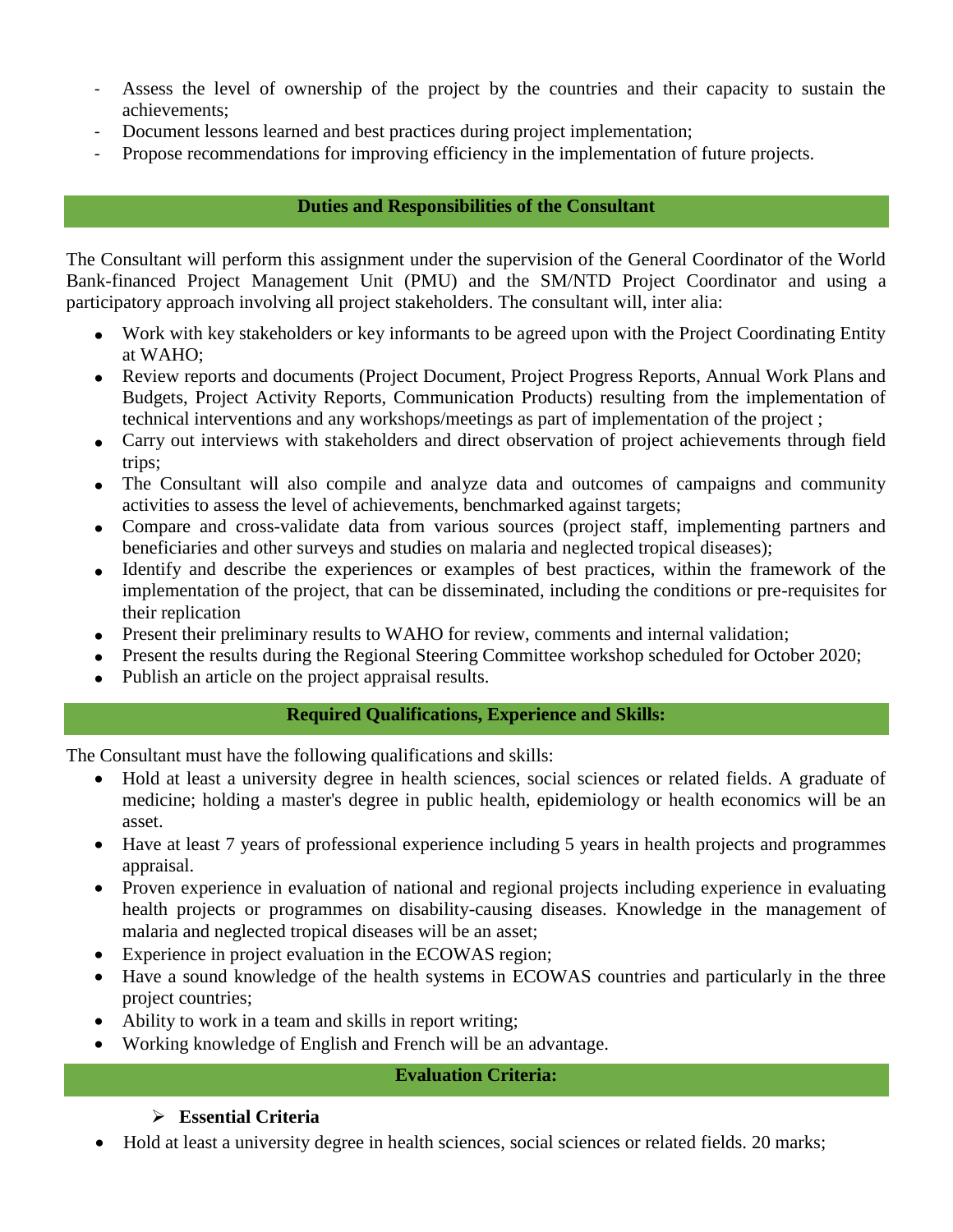- Assess the level of ownership of the project by the countries and their capacity to sustain the achievements;
- Document lessons learned and best practices during project implementation;
- Propose recommendations for improving efficiency in the implementation of future projects.

## **Duties and Responsibilities of the Consultant**

The Consultant will perform this assignment under the supervision of the General Coordinator of the World Bank-financed Project Management Unit (PMU) and the SM/NTD Project Coordinator and using a participatory approach involving all project stakeholders. The consultant will, inter alia:

- Work with key stakeholders or key informants to be agreed upon with the Project Coordinating Entity at WAHO;
- Review reports and documents (Project Document, Project Progress Reports, Annual Work Plans and Budgets, Project Activity Reports, Communication Products) resulting from the implementation of technical interventions and any workshops/meetings as part of implementation of the project ;
- Carry out interviews with stakeholders and direct observation of project achievements through field trips;
- The Consultant will also compile and analyze data and outcomes of campaigns and community activities to assess the level of achievements, benchmarked against targets;
- Compare and cross-validate data from various sources (project staff, implementing partners and beneficiaries and other surveys and studies on malaria and neglected tropical diseases);
- Identify and describe the experiences or examples of best practices, within the framework of the implementation of the project, that can be disseminated, including the conditions or pre-requisites for their replication
- Present their preliminary results to WAHO for review, comments and internal validation;
- Present the results during the Regional Steering Committee workshop scheduled for October 2020;
- Publish an article on the project appraisal results.

## **Required Qualifications, Experience and Skills:**

The Consultant must have the following qualifications and skills:

- Hold at least a university degree in health sciences, social sciences or related fields. A graduate of medicine; holding a master's degree in public health, epidemiology or health economics will be an asset.
- Have at least 7 years of professional experience including 5 years in health projects and programmes appraisal.
- Proven experience in evaluation of national and regional projects including experience in evaluating health projects or programmes on disability-causing diseases. Knowledge in the management of malaria and neglected tropical diseases will be an asset;
- Experience in project evaluation in the ECOWAS region;
- Have a sound knowledge of the health systems in ECOWAS countries and particularly in the three project countries;
- Ability to work in a team and skills in report writing;
- Working knowledge of English and French will be an advantage.

## **Evaluation Criteria:**

## **Essential Criteria**

Hold at least a university degree in health sciences, social sciences or related fields. 20 marks;